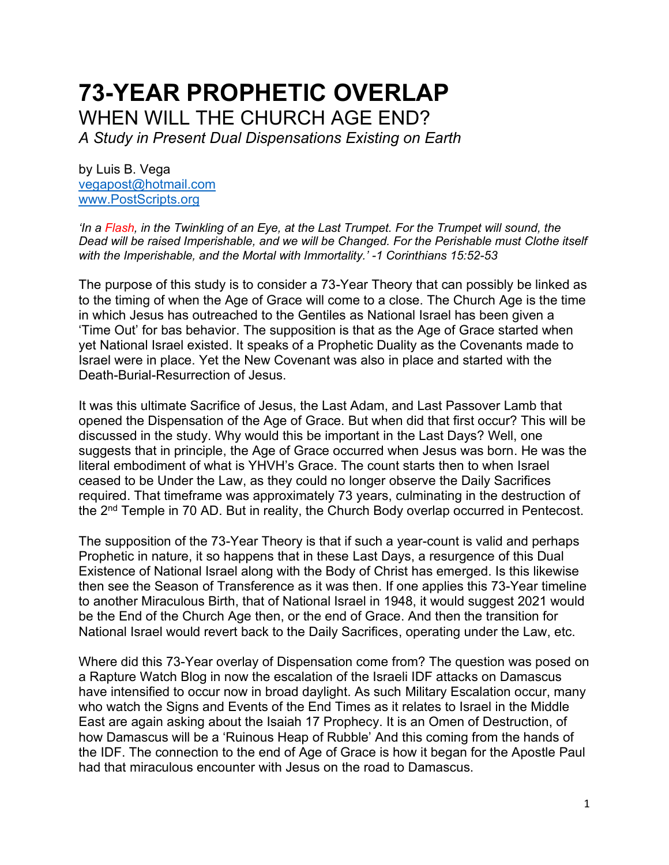# **73-YEAR PROPHETIC OVERLAP** WHEN WILL THE CHURCH AGE END?

*A Study in Present Dual Dispensations Existing on Earth*

by Luis B. Vega [vegapost@hotmail.com](mailto:vegapost@hotmail.com) [www.PostScripts.org](http://www.postscripts.org/)

*'In a Flash, in the Twinkling of an Eye, at the Last Trumpet. For the Trumpet will sound, the Dead will be raised Imperishable, and we will be Changed. For the Perishable must Clothe itself with the Imperishable, and the Mortal with Immortality.' -1 Corinthians 15:52-53*

The purpose of this study is to consider a 73-Year Theory that can possibly be linked as to the timing of when the Age of Grace will come to a close. The Church Age is the time in which Jesus has outreached to the Gentiles as National Israel has been given a 'Time Out' for bas behavior. The supposition is that as the Age of Grace started when yet National Israel existed. It speaks of a Prophetic Duality as the Covenants made to Israel were in place. Yet the New Covenant was also in place and started with the Death-Burial-Resurrection of Jesus.

It was this ultimate Sacrifice of Jesus, the Last Adam, and Last Passover Lamb that opened the Dispensation of the Age of Grace. But when did that first occur? This will be discussed in the study. Why would this be important in the Last Days? Well, one suggests that in principle, the Age of Grace occurred when Jesus was born. He was the literal embodiment of what is YHVH's Grace. The count starts then to when Israel ceased to be Under the Law, as they could no longer observe the Daily Sacrifices required. That timeframe was approximately 73 years, culminating in the destruction of the  $2<sup>nd</sup>$  Temple in 70 AD. But in reality, the Church Body overlap occurred in Pentecost.

The supposition of the 73-Year Theory is that if such a year-count is valid and perhaps Prophetic in nature, it so happens that in these Last Days, a resurgence of this Dual Existence of National Israel along with the Body of Christ has emerged. Is this likewise then see the Season of Transference as it was then. If one applies this 73-Year timeline to another Miraculous Birth, that of National Israel in 1948, it would suggest 2021 would be the End of the Church Age then, or the end of Grace. And then the transition for National Israel would revert back to the Daily Sacrifices, operating under the Law, etc.

Where did this 73-Year overlay of Dispensation come from? The question was posed on a Rapture Watch Blog in now the escalation of the Israeli IDF attacks on Damascus have intensified to occur now in broad daylight. As such Military Escalation occur, many who watch the Signs and Events of the End Times as it relates to Israel in the Middle East are again asking about the Isaiah 17 Prophecy. It is an Omen of Destruction, of how Damascus will be a 'Ruinous Heap of Rubble' And this coming from the hands of the IDF. The connection to the end of Age of Grace is how it began for the Apostle Paul had that miraculous encounter with Jesus on the road to Damascus.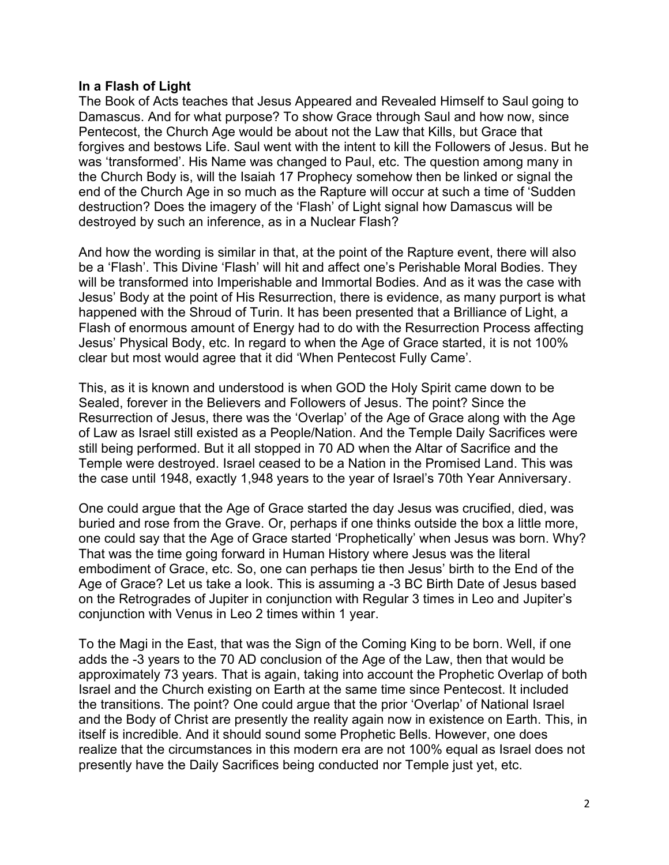## **In a Flash of Light**

The Book of Acts teaches that Jesus Appeared and Revealed Himself to Saul going to Damascus. And for what purpose? To show Grace through Saul and how now, since Pentecost, the Church Age would be about not the Law that Kills, but Grace that forgives and bestows Life. Saul went with the intent to kill the Followers of Jesus. But he was 'transformed'. His Name was changed to Paul, etc. The question among many in the Church Body is, will the Isaiah 17 Prophecy somehow then be linked or signal the end of the Church Age in so much as the Rapture will occur at such a time of 'Sudden destruction? Does the imagery of the 'Flash' of Light signal how Damascus will be destroyed by such an inference, as in a Nuclear Flash?

And how the wording is similar in that, at the point of the Rapture event, there will also be a 'Flash'. This Divine 'Flash' will hit and affect one's Perishable Moral Bodies. They will be transformed into Imperishable and Immortal Bodies. And as it was the case with Jesus' Body at the point of His Resurrection, there is evidence, as many purport is what happened with the Shroud of Turin. It has been presented that a Brilliance of Light, a Flash of enormous amount of Energy had to do with the Resurrection Process affecting Jesus' Physical Body, etc. In regard to when the Age of Grace started, it is not 100% clear but most would agree that it did 'When Pentecost Fully Came'.

This, as it is known and understood is when GOD the Holy Spirit came down to be Sealed, forever in the Believers and Followers of Jesus. The point? Since the Resurrection of Jesus, there was the 'Overlap' of the Age of Grace along with the Age of Law as Israel still existed as a People/Nation. And the Temple Daily Sacrifices were still being performed. But it all stopped in 70 AD when the Altar of Sacrifice and the Temple were destroyed. Israel ceased to be a Nation in the Promised Land. This was the case until 1948, exactly 1,948 years to the year of Israel's 70th Year Anniversary.

One could argue that the Age of Grace started the day Jesus was crucified, died, was buried and rose from the Grave. Or, perhaps if one thinks outside the box a little more, one could say that the Age of Grace started 'Prophetically' when Jesus was born. Why? That was the time going forward in Human History where Jesus was the literal embodiment of Grace, etc. So, one can perhaps tie then Jesus' birth to the End of the Age of Grace? Let us take a look. This is assuming a -3 BC Birth Date of Jesus based on the Retrogrades of Jupiter in conjunction with Regular 3 times in Leo and Jupiter's conjunction with Venus in Leo 2 times within 1 year.

To the Magi in the East, that was the Sign of the Coming King to be born. Well, if one adds the -3 years to the 70 AD conclusion of the Age of the Law, then that would be approximately 73 years. That is again, taking into account the Prophetic Overlap of both Israel and the Church existing on Earth at the same time since Pentecost. It included the transitions. The point? One could argue that the prior 'Overlap' of National Israel and the Body of Christ are presently the reality again now in existence on Earth. This, in itself is incredible. And it should sound some Prophetic Bells. However, one does realize that the circumstances in this modern era are not 100% equal as Israel does not presently have the Daily Sacrifices being conducted nor Temple just yet, etc.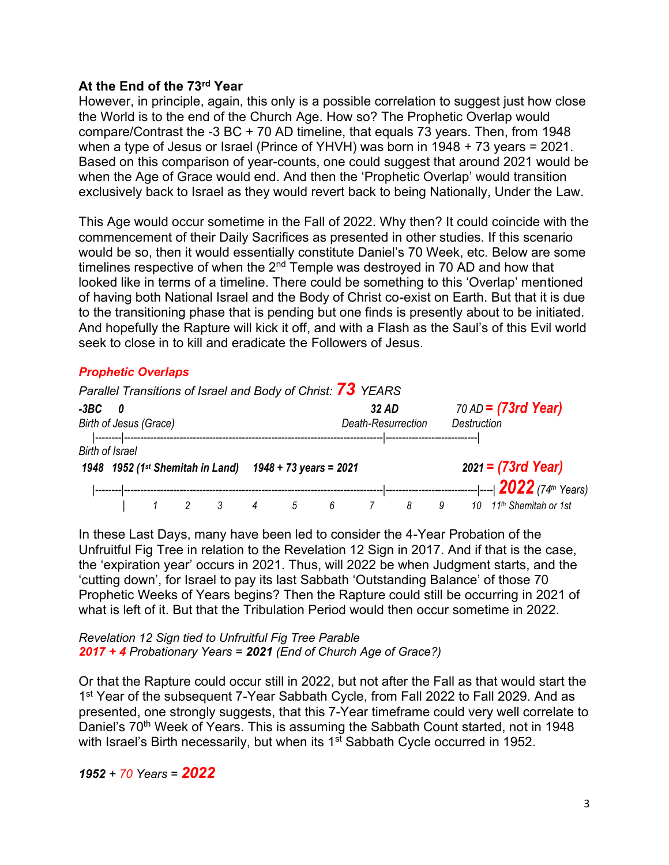## **At the End of the 73rd Year**

However, in principle, again, this only is a possible correlation to suggest just how close the World is to the end of the Church Age. How so? The Prophetic Overlap would compare/Contrast the -3 BC + 70 AD timeline, that equals 73 years. Then, from 1948 when a type of Jesus or Israel (Prince of YHVH) was born in 1948 + 73 years = 2021. Based on this comparison of year-counts, one could suggest that around 2021 would be when the Age of Grace would end. And then the 'Prophetic Overlap' would transition exclusively back to Israel as they would revert back to being Nationally, Under the Law.

This Age would occur sometime in the Fall of 2022. Why then? It could coincide with the commencement of their Daily Sacrifices as presented in other studies. If this scenario would be so, then it would essentially constitute Daniel's 70 Week, etc. Below are some timelines respective of when the  $2<sup>nd</sup>$  Temple was destroyed in 70 AD and how that looked like in terms of a timeline. There could be something to this 'Overlap' mentioned of having both National Israel and the Body of Christ co-exist on Earth. But that it is due to the transitioning phase that is pending but one finds is presently about to be initiated. And hopefully the Rapture will kick it off, and with a Flash as the Saul's of this Evil world seek to close in to kill and eradicate the Followers of Jesus.

## *Prophetic Overlaps*

|                                       |  |  |  |                                                         |                             |   |   | Parallel Transitions of Israel and Body of Christ: 73 YEARS |   |                                                     |  |                                                                    |
|---------------------------------------|--|--|--|---------------------------------------------------------|-----------------------------|---|---|-------------------------------------------------------------|---|-----------------------------------------------------|--|--------------------------------------------------------------------|
| -3BC<br>- 0<br>Birth of Jesus (Grace) |  |  |  |                                                         | 32 AD<br>Death-Resurrection |   |   |                                                             |   | 70 AD = $(73rd \text{ Year})$<br><b>Destruction</b> |  |                                                                    |
| <b>Birth of Israel</b>                |  |  |  | 1948 1952 (1st Shemitah in Land) 1948 + 73 years = 2021 |                             |   |   |                                                             |   |                                                     |  | $2021 = (73rd \text{ Year})$                                       |
|                                       |  |  |  |                                                         | 4                           | 5 | 6 |                                                             | 8 | 9                                                   |  | --- ----  2022 (74th Years)<br>10 11 <sup>th</sup> Shemitah or 1st |

In these Last Days, many have been led to consider the 4-Year Probation of the Unfruitful Fig Tree in relation to the Revelation 12 Sign in 2017. And if that is the case, the 'expiration year' occurs in 2021. Thus, will 2022 be when Judgment starts, and the 'cutting down', for Israel to pay its last Sabbath 'Outstanding Balance' of those 70 Prophetic Weeks of Years begins? Then the Rapture could still be occurring in 2021 of what is left of it. But that the Tribulation Period would then occur sometime in 2022.

*Revelation 12 Sign tied to Unfruitful Fig Tree Parable 2017 + 4 Probationary Years = 2021 (End of Church Age of Grace?)*

Or that the Rapture could occur still in 2022, but not after the Fall as that would start the 1<sup>st</sup> Year of the subsequent 7-Year Sabbath Cycle, from Fall 2022 to Fall 2029. And as presented, one strongly suggests, that this 7-Year timeframe could very well correlate to Daniel's 70<sup>th</sup> Week of Years. This is assuming the Sabbath Count started, not in 1948 with Israel's Birth necessarily, but when its 1<sup>st</sup> Sabbath Cycle occurred in 1952.

*1952 + 70 Years = 2022*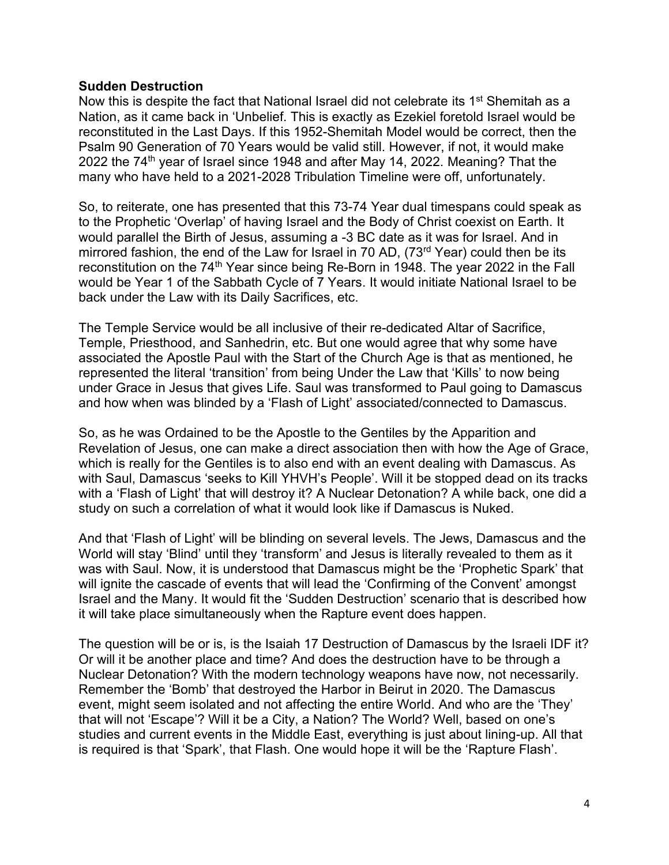#### **Sudden Destruction**

Now this is despite the fact that National Israel did not celebrate its  $1<sup>st</sup>$  Shemitah as a Nation, as it came back in 'Unbelief. This is exactly as Ezekiel foretold Israel would be reconstituted in the Last Days. If this 1952-Shemitah Model would be correct, then the Psalm 90 Generation of 70 Years would be valid still. However, if not, it would make 2022 the 74<sup>th</sup> year of Israel since 1948 and after May 14, 2022. Meaning? That the many who have held to a 2021-2028 Tribulation Timeline were off, unfortunately.

So, to reiterate, one has presented that this 73-74 Year dual timespans could speak as to the Prophetic 'Overlap' of having Israel and the Body of Christ coexist on Earth. It would parallel the Birth of Jesus, assuming a -3 BC date as it was for Israel. And in mirrored fashion, the end of the Law for Israel in 70 AD, (73<sup>rd</sup> Year) could then be its reconstitution on the 74<sup>th</sup> Year since being Re-Born in 1948. The year 2022 in the Fall would be Year 1 of the Sabbath Cycle of 7 Years. It would initiate National Israel to be back under the Law with its Daily Sacrifices, etc.

The Temple Service would be all inclusive of their re-dedicated Altar of Sacrifice, Temple, Priesthood, and Sanhedrin, etc. But one would agree that why some have associated the Apostle Paul with the Start of the Church Age is that as mentioned, he represented the literal 'transition' from being Under the Law that 'Kills' to now being under Grace in Jesus that gives Life. Saul was transformed to Paul going to Damascus and how when was blinded by a 'Flash of Light' associated/connected to Damascus.

So, as he was Ordained to be the Apostle to the Gentiles by the Apparition and Revelation of Jesus, one can make a direct association then with how the Age of Grace, which is really for the Gentiles is to also end with an event dealing with Damascus. As with Saul, Damascus 'seeks to Kill YHVH's People'. Will it be stopped dead on its tracks with a 'Flash of Light' that will destroy it? A Nuclear Detonation? A while back, one did a study on such a correlation of what it would look like if Damascus is Nuked.

And that 'Flash of Light' will be blinding on several levels. The Jews, Damascus and the World will stay 'Blind' until they 'transform' and Jesus is literally revealed to them as it was with Saul. Now, it is understood that Damascus might be the 'Prophetic Spark' that will ignite the cascade of events that will lead the 'Confirming of the Convent' amongst Israel and the Many. It would fit the 'Sudden Destruction' scenario that is described how it will take place simultaneously when the Rapture event does happen.

The question will be or is, is the Isaiah 17 Destruction of Damascus by the Israeli IDF it? Or will it be another place and time? And does the destruction have to be through a Nuclear Detonation? With the modern technology weapons have now, not necessarily. Remember the 'Bomb' that destroyed the Harbor in Beirut in 2020. The Damascus event, might seem isolated and not affecting the entire World. And who are the 'They' that will not 'Escape'? Will it be a City, a Nation? The World? Well, based on one's studies and current events in the Middle East, everything is just about lining-up. All that is required is that 'Spark', that Flash. One would hope it will be the 'Rapture Flash'.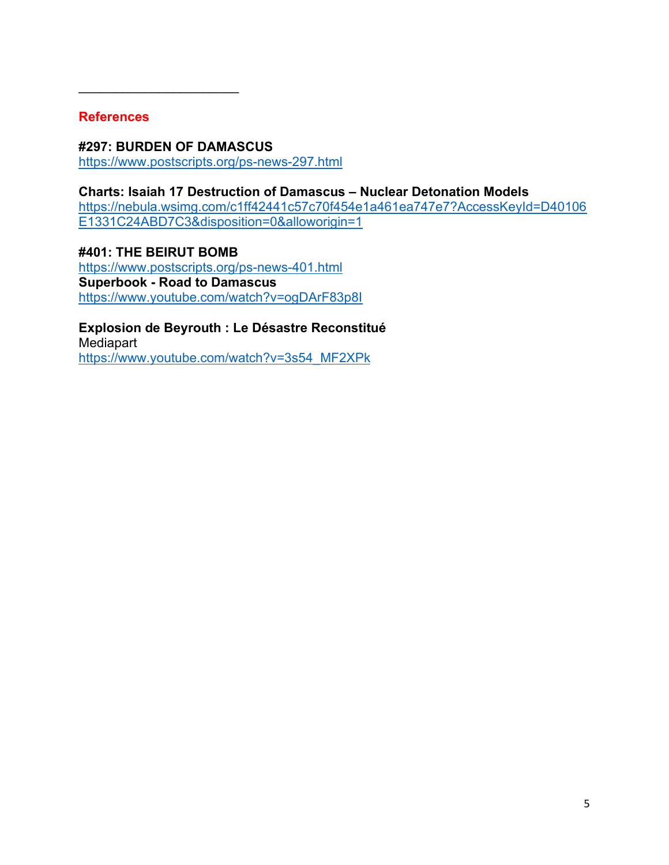## **References**

 $\overline{\phantom{a}}$  , and the set of the set of the set of the set of the set of the set of the set of the set of the set of the set of the set of the set of the set of the set of the set of the set of the set of the set of the s

#### **#297: BURDEN OF DAMASCUS** <https://www.postscripts.org/ps-news-297.html>

**Charts: Isaiah 17 Destruction of Damascus – Nuclear Detonation Models**  [https://nebula.wsimg.com/c1ff42441c57c70f454e1a461ea747e7?AccessKeyId=D40106](https://nebula.wsimg.com/c1ff42441c57c70f454e1a461ea747e7?AccessKeyId=D40106E1331C24ABD7C3&disposition=0&alloworigin=1) [E1331C24ABD7C3&disposition=0&alloworigin=1](https://nebula.wsimg.com/c1ff42441c57c70f454e1a461ea747e7?AccessKeyId=D40106E1331C24ABD7C3&disposition=0&alloworigin=1)

**#401: THE BEIRUT BOMB** <https://www.postscripts.org/ps-news-401.html> **Superbook - Road to Damascus** <https://www.youtube.com/watch?v=ogDArF83p8I>

**Explosion de Beyrouth : Le Désastre Reconstitué Mediapart** [https://www.youtube.com/watch?v=3s54\\_MF2XPk](https://www.youtube.com/watch?v=3s54_MF2XPk)